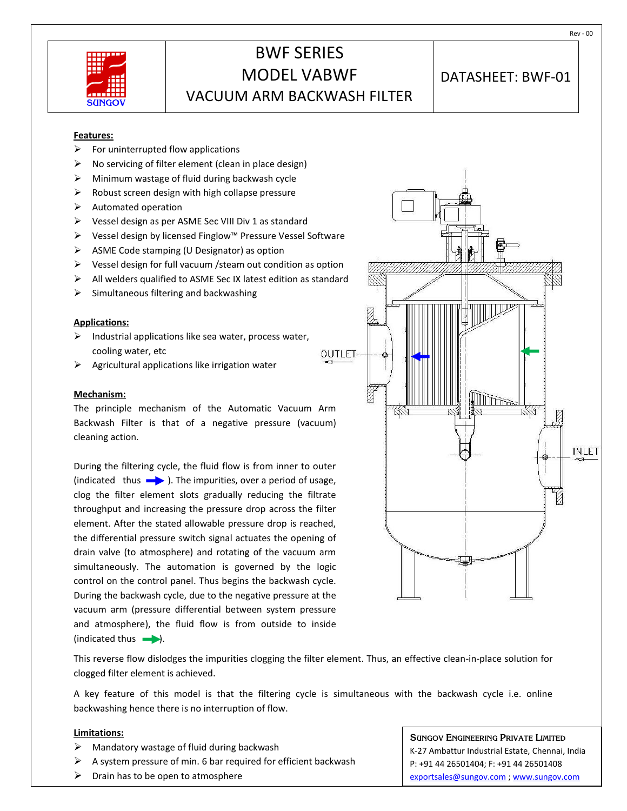

# BWF SERIES MODEL VABWF VACUUM ARM BACKWASH FILTER

### DATASHEET: BWF-01

**Features:**

- $\triangleright$  For uninterrupted flow applications
- No servicing of filter element (clean in place design)
- $\triangleright$  Minimum wastage of fluid during backwash cycle
- $\triangleright$  Robust screen design with high collapse pressure
- $\triangleright$  Automated operation
- Vessel design as per ASME Sec VIII Div 1 as standard
- Vessel design by licensed Finglow™ Pressure Vessel Software
- $\triangleright$  ASME Code stamping (U Designator) as option
- $\triangleright$  Vessel design for full vacuum / steam out condition as option
- $\triangleright$  All welders qualified to ASME Sec IX latest edition as standard
- $\triangleright$  Simultaneous filtering and backwashing

#### **Applications:**

- $\triangleright$  Industrial applications like sea water, process water, cooling water, etc
- Agricultural applications like irrigation water

#### **Mechanism:**

The principle mechanism of the Automatic Vacuum Arm Backwash Filter is that of a negative pressure (vacuum) cleaning action.

During the filtering cycle, the fluid flow is from inner to outer (indicated thus  $\longrightarrow$ ). The impurities, over a period of usage, clog the filter element slots gradually reducing the filtrate throughput and increasing the pressure drop across the filter element. After the stated allowable pressure drop is reached, the differential pressure switch signal actuates the opening of drain valve (to atmosphere) and rotating of the vacuum arm simultaneously. The automation is governed by the logic control on the control panel. Thus begins the backwash cycle. During the backwash cycle, due to the negative pressure at the vacuum arm (pressure differential between system pressure and atmosphere), the fluid flow is from outside to inside  $(indicated thus$ .



This reverse flow dislodges the impurities clogging the filter element. Thus, an effective clean-in-place solution for clogged filter element is achieved.

A key feature of this model is that the filtering cycle is simultaneous with the backwash cycle i.e. online backwashing hence there is no interruption of flow.

#### **Limitations:**

- $\triangleright$  Mandatory wastage of fluid during backwash
- A system pressure of min. 6 bar required for efficient backwash
- $\triangleright$  Drain has to be open to atmosphere

**SUNGOV ENGINEERING PRIVATE LIMITED** K-27 Ambattur Industrial Estate, Chennai, India P: +91 44 26501404; F: +91 44 26501408 [exportsales@sungov.com](mailto:exportsales@sungov.com) ; [www.sungov.com](http://www.sungov.com/)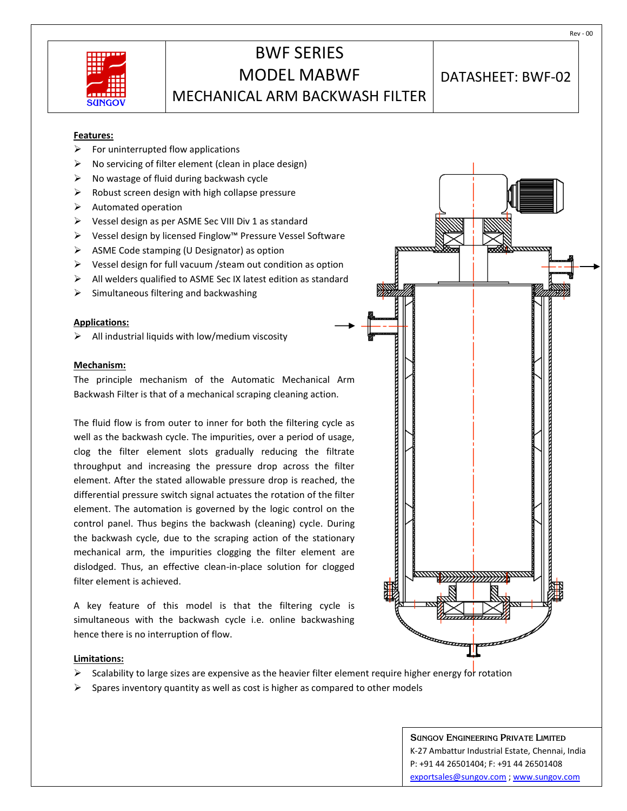| <b>-------</b><br>TT           |  |
|--------------------------------|--|
| пT<br>ш                        |  |
| -----<br>40 E<br><b>SUNGOV</b> |  |

# BWF SERIES MODEL MABWF MECHANICAL ARM BACKWASH FILTER

DATASHEET: BWF-02

#### **Features:**

- $\triangleright$  For uninterrupted flow applications
- No servicing of filter element (clean in place design)
- $\triangleright$  No wastage of fluid during backwash cycle
- $\triangleright$  Robust screen design with high collapse pressure
- $\triangleright$  Automated operation
- Vessel design as per ASME Sec VIII Div 1 as standard
- Vessel design by licensed Finglow™ Pressure Vessel Software
- $\triangleright$  ASME Code stamping (U Designator) as option
- $\triangleright$  Vessel design for full vacuum / steam out condition as option
- $\triangleright$  All welders qualified to ASME Sec IX latest edition as standard
- $\triangleright$  Simultaneous filtering and backwashing

#### **Applications:**

 $\triangleright$  All industrial liquids with low/medium viscosity

#### **Mechanism:**

The principle mechanism of the Automatic Mechanical Arm Backwash Filter is that of a mechanical scraping cleaning action.

The fluid flow is from outer to inner for both the filtering cycle as well as the backwash cycle. The impurities, over a period of usage, clog the filter element slots gradually reducing the filtrate throughput and increasing the pressure drop across the filter element. After the stated allowable pressure drop is reached, the differential pressure switch signal actuates the rotation of the filter element. The automation is governed by the logic control on the control panel. Thus begins the backwash (cleaning) cycle. During the backwash cycle, due to the scraping action of the stationary mechanical arm, the impurities clogging the filter element are dislodged. Thus, an effective clean-in-place solution for clogged filter element is achieved.

A key feature of this model is that the filtering cycle is simultaneous with the backwash cycle i.e. online backwashing hence there is no interruption of flow.

#### **Limitations:**

- Scalability to large sizes are expensive as the heavier filter element require higher energy for rotation
- $\triangleright$  Spares inventory quantity as well as cost is higher as compared to other models

**SUNGOV ENGINEERING PRIVATE LIMITED** K-27 Ambattur Industrial Estate, Chennai, India P: +91 44 26501404; F: +91 44 26501408 [exportsales@sungov.com](mailto:exportsales@sungov.com) [; www.sungov.com](http://www.sungov.com/)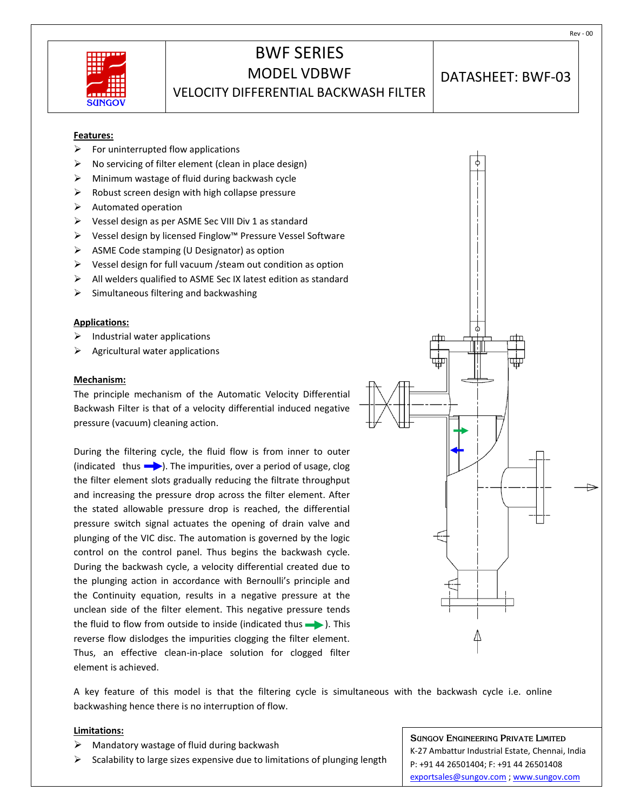

### BWF SERIES MODEL VDBWF VELOCITY DIFFERENTIAL BACKWASH FILTER

DATASHEET: BWF-03

#### **Features:**

- $\triangleright$  For uninterrupted flow applications
- No servicing of filter element (clean in place design)
- $\triangleright$  Minimum wastage of fluid during backwash cycle
- $\triangleright$  Robust screen design with high collapse pressure
- $\triangleright$  Automated operation
- Vessel design as per ASME Sec VIII Div 1 as standard
- Vessel design by licensed Finglow™ Pressure Vessel Software
- $\triangleright$  ASME Code stamping (U Designator) as option
- $\triangleright$  Vessel design for full vacuum / steam out condition as option
- $\triangleright$  All welders qualified to ASME Sec IX latest edition as standard
- $\triangleright$  Simultaneous filtering and backwashing

#### **Applications:**

- $\triangleright$  Industrial water applications
- $\triangleright$  Agricultural water applications

#### **Mechanism:**

The principle mechanism of the Automatic Velocity Differential Backwash Filter is that of a velocity differential induced negative pressure (vacuum) cleaning action.

During the filtering cycle, the fluid flow is from inner to outer (indicated thus  $\longrightarrow$ ). The impurities, over a period of usage, clog the filter element slots gradually reducing the filtrate throughput and increasing the pressure drop across the filter element. After the stated allowable pressure drop is reached, the differential pressure switch signal actuates the opening of drain valve and plunging of the VIC disc. The automation is governed by the logic control on the control panel. Thus begins the backwash cycle. During the backwash cycle, a velocity differential created due to the plunging action in accordance with Bernoulli's principle and the Continuity equation, results in a negative pressure at the unclean side of the filter element. This negative pressure tends the fluid to flow from outside to inside (indicated thus  $\longrightarrow$  ). This reverse flow dislodges the impurities clogging the filter element. Thus, an effective clean-in-place solution for clogged filter element is achieved.



A key feature of this model is that the filtering cycle is simultaneous with the backwash cycle i.e. online backwashing hence there is no interruption of flow.

#### **Limitations:**

- Mandatory wastage of fluid during backwash
- Scalability to large sizes expensive due to limitations of plunging length

**SUNGOV ENGINEERING PRIVATE LIMITED** K-27 Ambattur Industrial Estate, Chennai, India P: +91 44 26501404; F: +91 44 26501408 [exportsales@sungov.com](mailto:exportsales@sungov.com) [; www.sungov.com](http://www.sungov.com/)